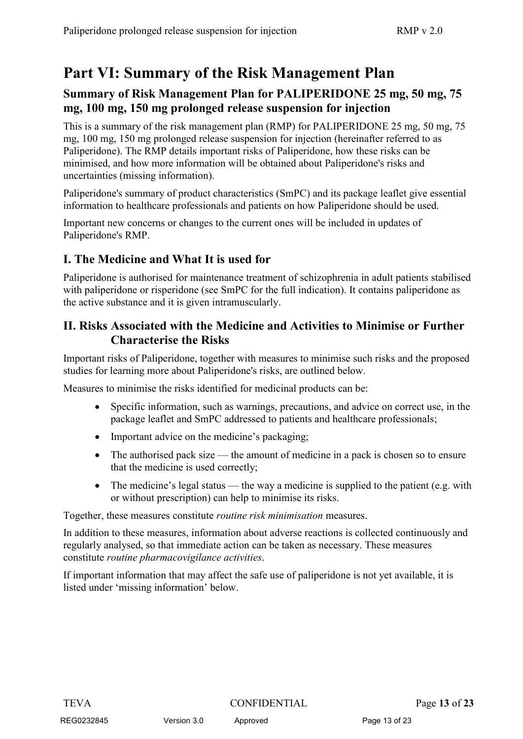# **Part VI: Summary of the Risk Management Plan**

## **Summary of Risk Management Plan for PALIPERIDONE 25 mg, 50 mg, 75 mg, 100 mg, 150 mg prolonged release suspension for injection**

This is a summary of the risk management plan (RMP) for PALIPERIDONE 25 mg, 50 mg, 75 mg, 100 mg, 150 mg prolonged release suspension for injection (hereinafter referred to as Paliperidone). The RMP details important risks of Paliperidone, how these risks can be minimised, and how more information will be obtained about Paliperidone's risks and uncertainties (missing information).

Paliperidone's summary of product characteristics (SmPC) and its package leaflet give essential information to healthcare professionals and patients on how Paliperidone should be used.

Important new concerns or changes to the current ones will be included in updates of Paliperidone's RMP.

## **I. The Medicine and What It is used for**

Paliperidone is authorised for maintenance treatment of schizophrenia in adult patients stabilised with paliperidone or risperidone (see SmPC for the full indication). It contains paliperidone as the active substance and it is given intramuscularly.

### **II. Risks Associated with the Medicine and Activities to Minimise or Further Characterise the Risks**

Important risks of Paliperidone, together with measures to minimise such risks and the proposed studies for learning more about Paliperidone's risks, are outlined below.

Measures to minimise the risks identified for medicinal products can be:

- Specific information, such as warnings, precautions, and advice on correct use, in the package leaflet and SmPC addressed to patients and healthcare professionals;
- Important advice on the medicine's packaging;
- The authorised pack size the amount of medicine in a pack is chosen so to ensure that the medicine is used correctly;
- The medicine's legal status the way a medicine is supplied to the patient (e.g. with or without prescription) can help to minimise its risks.

Together, these measures constitute *routine risk minimisation* measures.

In addition to these measures, information about adverse reactions is collected continuously and regularly analysed, so that immediate action can be taken as necessary. These measures constitute *routine pharmacovigilance activities*.

If important information that may affect the safe use of paliperidone is not yet available, it is listed under 'missing information' below.